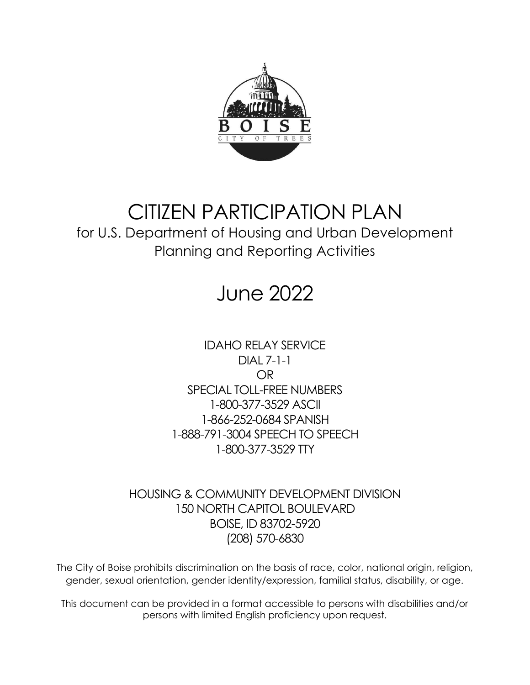

# CITIZEN PARTICIPATION PLAN

for U.S. Department of Housing and Urban Development Planning and Reporting Activities

# June 2022

IDAHO RELAY SERVICE DIAL 7-1-1 OR SPECIAL TOLL-FREE NUMBERS 1-800-377-3529 ASCII 1-866-252-0684 SPANISH 1-888-791-3004 SPEECH TO SPEECH 1-800-377-3529 TTY

HOUSING & COMMUNITY DEVELOPMENT DIVISION 150 NORTH CAPITOL BOULEVARD BOISE, ID 83702-5920 (208) 570-6830

The City of Boise prohibits discrimination on the basis of race, color, national origin, religion, gender, sexual orientation, gender identity/expression, familial status, disability, or age.

This document can be provided in a format accessible to persons with disabilities and/or persons with limited English proficiency upon request.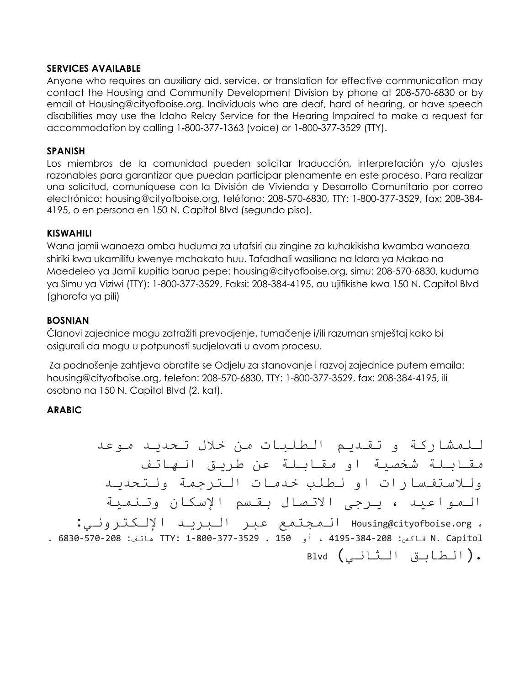#### **SERVICES AVAILABLE**

Anyone who requires an auxiliary aid, service, or translation for effective communication may contact the Housing and Community Development Division by phone at 208-570-6830 or by email at Housing@cityofboise.org. Individuals who are deaf, hard of hearing, or have speech disabilities may use the Idaho Relay Service for the Hearing Impaired to make a request for accommodation by calling 1-800-377-1363 (voice) or 1-800-377-3529 (TTY).

#### **SPANISH**

Los miembros de la comunidad pueden solicitar traducción, interpretación y/o ajustes razonables para garantizar que puedan participar plenamente en este proceso. Para realizar una solicitud, comuníquese con la División de Vivienda y Desarrollo Comunitario por correo electrónico: housing@cityofboise.org, teléfono: 208-570-6830, TTY: 1-800-377-3529, fax: 208-384- 4195, o en persona en 150 N. Capitol Blvd (segundo piso).

#### **KISWAHILI**

Wana jamii wanaeza omba huduma za utafsiri au zingine za kuhakikisha kwamba wanaeza shiriki kwa ukamilifu kwenye mchakato huu. Tafadhali wasiliana na Idara ya Makao na Maedeleo ya Jamii kupitia barua pepe: [housing@cityofboise.org,](mailto:housing@cityofboise.org) simu: 208-570-6830, kuduma ya Simu ya Viziwi (TTY): 1-800-377-3529, Faksi: 208-384-4195, au ujifikishe kwa 150 N. Capitol Blvd (ghorofa ya pili)

#### **BOSNIAN**

Članovi zajednice mogu zatražiti prevodjenje, tumačenje i/ili razuman smještaj kako bi osigurali da mogu u potpunosti sudjelovati u ovom procesu.

Za podnošenje zahtjeva obratite se Odjelu za stanovanje i razvoj zajednice putem emaila: housing@cityofboise.org, telefon: 208-570-6830, TTY: 1-800-377-3529, fax: 208-384-4195, ili osobno na 150 N. Capitol Blvd (2. kat).

#### **ARABIC**

للمشاركة و تقديم الطلبات من خالل تحديد موعد مقابلة شخصية او مقابلة عن طريق الهاتف ولالستفسارات او لطلب خدمات الترجمة ولتحديد المواعيد ، يرجى االتصال بقسم اإلسكان وتنمية ، org.cityofboise@Housing المجتمع عبر البريد اإللكتروني: Capitol .N فاكس: 4195-384-208 ، أو 150 ، 1-800-377-3529 :TTY هاتف: 6830-570-208 ، .(الطابق الثاني) Blvd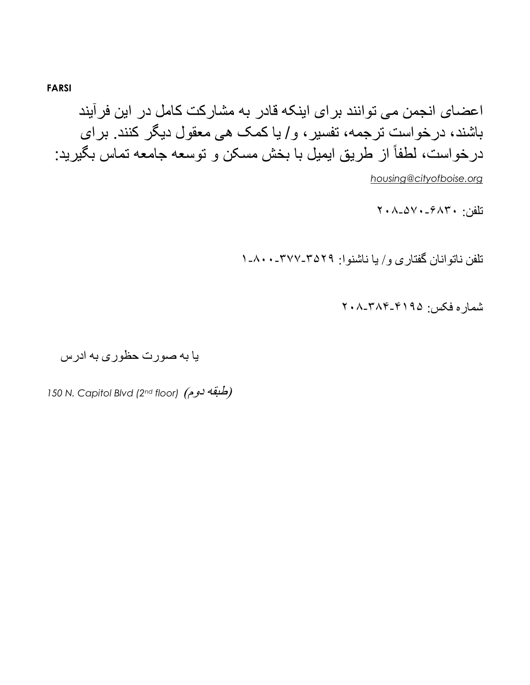اعضای انجمن می توانند برای اینکه قادر به مشارکت کامل در این فرآیند باشند، درخواست ترجمه، تفسیر، و/ ی ا کمک هی معقول دیگر کنند. برا ی درخواست، لطفاً از طریق ایمیل با بخش مسکن و توسعه جامعه تماس بگیرید: *[housing@cityofboise.org](mailto:housing@cityofboise.org)*

تلفن: ۲۰۸-۵۷۰-۶۸۳۰

تلفن ناتوانان گفتاری و/ یا ناشنوا: -۳۵۲۹ -۳۷۷ ۱-۸۰۰

شماره فکس: ۲۰۸-۳۸۴-۴۱۹۵

یا به صورت حظوری به ادرس

*150 N. Capitol Blvd (2nd floor)* )دوم طبقه)

**FARSI**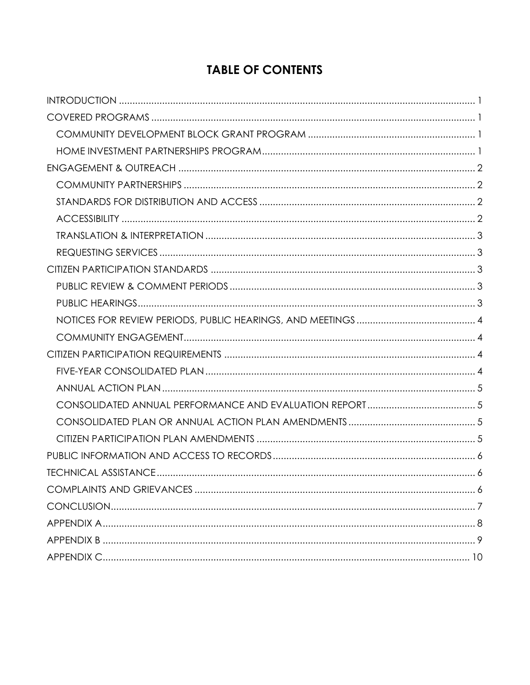# **TABLE OF CONTENTS**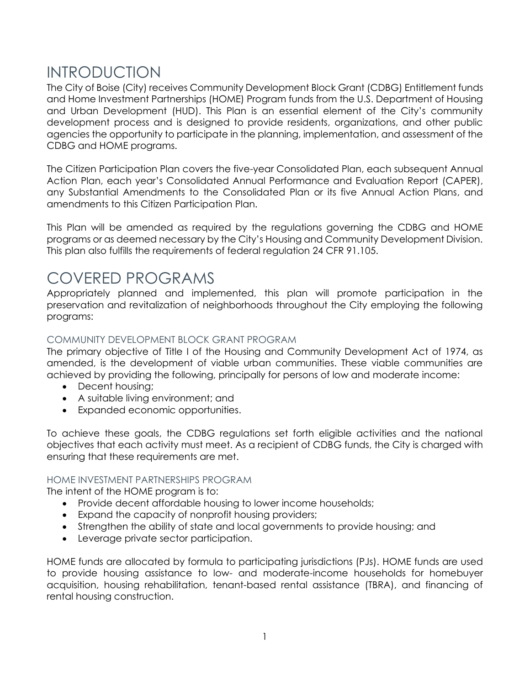# INTRODUCTION

The City of Boise (City) receives Community Development Block Grant (CDBG) Entitlement funds and Home Investment Partnerships (HOME) Program funds from the U.S. Department of Housing and Urban Development (HUD). This Plan is an essential element of the City's community development process and is designed to provide residents, organizations, and other public agencies the opportunity to participate in the planning, implementation, and assessment of the CDBG and HOME programs.

The Citizen Participation Plan covers the five-year Consolidated Plan, each subsequent Annual Action Plan, each year's Consolidated Annual Performance and Evaluation Report (CAPER), any Substantial Amendments to the Consolidated Plan or its five Annual Action Plans, and amendments to this Citizen Participation Plan.

This Plan will be amended as required by the regulations governing the CDBG and HOME programs or as deemed necessary by the City's Housing and Community Development Division. This plan also fulfills the requirements of federal regulation 24 CFR 91.105.

# COVERED PROGRAMS

Appropriately planned and implemented, this plan will promote participation in the preservation and revitalization of neighborhoods throughout the City employing the following programs:

### COMMUNITY DEVELOPMENT BLOCK GRANT PROGRAM

The primary objective of Title I of the Housing and Community Development Act of 1974, as amended, is the development of viable urban communities. These viable communities are achieved by providing the following, principally for persons of low and moderate income:

- Decent housing;
- A suitable living environment; and
- Expanded economic opportunities.

To achieve these goals, the CDBG regulations set forth eligible activities and the national objectives that each activity must meet. As a recipient of CDBG funds, the City is charged with ensuring that these requirements are met.

### HOME INVESTMENT PARTNERSHIPS PROGRAM

The intent of the HOME program is to:

- Provide decent affordable housing to lower income households;
- Expand the capacity of nonprofit housing providers;
- Strengthen the ability of state and local governments to provide housing; and
- Leverage private sector participation.

HOME funds are allocated by formula to participating jurisdictions (PJs). HOME funds are used to provide housing assistance to low- and moderate-income households for homebuyer acquisition, housing rehabilitation, tenant-based rental assistance (TBRA), and financing of rental housing construction.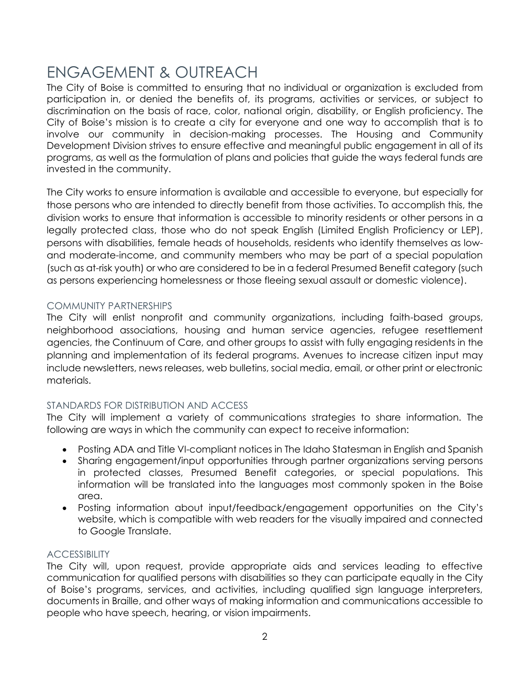# ENGAGEMENT & OUTREACH

The City of Boise is committed to ensuring that no individual or organization is excluded from participation in, or denied the benefits of, its programs, activities or services, or subject to discrimination on the basis of race, color, national origin, disability, or English proficiency. The City of Boise's mission is to create a city for everyone and one way to accomplish that is to involve our community in decision-making processes. The Housing and Community Development Division strives to ensure effective and meaningful public engagement in all of its programs, as well as the formulation of plans and policies that guide the ways federal funds are invested in the community.

The City works to ensure information is available and accessible to everyone, but especially for those persons who are intended to directly benefit from those activities. To accomplish this, the division works to ensure that information is accessible to minority residents or other persons in a legally protected class, those who do not speak English (Limited English Proficiency or LEP), persons with disabilities, female heads of households, residents who identify themselves as lowand moderate-income, and community members who may be part of a special population (such as at-risk youth) or who are considered to be in a federal Presumed Benefit category (such as persons experiencing homelessness or those fleeing sexual assault or domestic violence).

### COMMUNITY PARTNERSHIPS

The City will enlist nonprofit and community organizations, including faith-based groups, neighborhood associations, housing and human service agencies, refugee resettlement agencies, the Continuum of Care, and other groups to assist with fully engaging residents in the planning and implementation of its federal programs. Avenues to increase citizen input may include newsletters, news releases, web bulletins, social media, email, or other print or electronic materials.

## STANDARDS FOR DISTRIBUTION AND ACCESS

The City will implement a variety of communications strategies to share information. The following are ways in which the community can expect to receive information:

- Posting ADA and Title VI-compliant notices in The Idaho Statesman in English and Spanish
- Sharing engagement/input opportunities through partner organizations serving persons in protected classes, Presumed Benefit categories, or special populations. This information will be translated into the languages most commonly spoken in the Boise area.
- Posting information about input/feedback/engagement opportunities on the City's website, which is compatible with web readers for the visually impaired and connected to Google Translate.

### **ACCESSIBILITY**

The City will, upon request, provide appropriate aids and services leading to effective communication for qualified persons with disabilities so they can participate equally in the City of Boise's programs, services, and activities, including qualified sign language interpreters, documents in Braille, and other ways of making information and communications accessible to people who have speech, hearing, or vision impairments.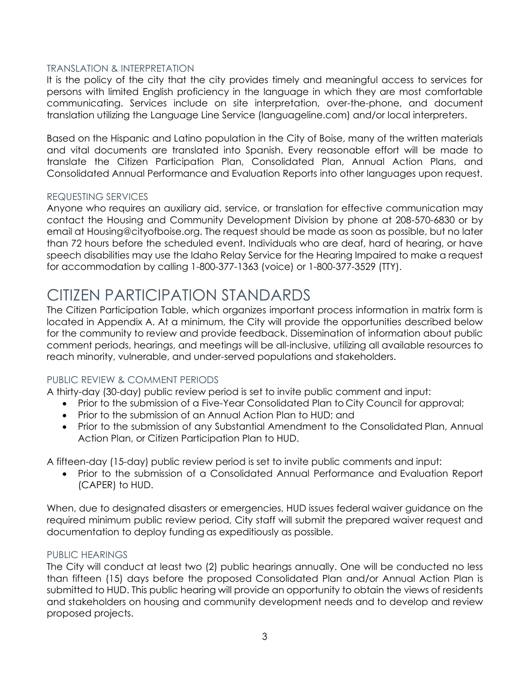#### TRANSLATION & INTERPRETATION

It is the policy of the city that the city provides timely and meaningful access to services for persons with limited English proficiency in the language in which they are most comfortable communicating. Services include on site interpretation, over-the-phone, and document translation utilizing the Language Line Service (languageline.com) and/or local interpreters.

Based on the Hispanic and Latino population in the City of Boise, many of the written materials and vital documents are translated into Spanish. Every reasonable effort will be made to translate the Citizen Participation Plan, Consolidated Plan, Annual Action Plans, and Consolidated Annual Performance and Evaluation Reports into other languages upon request.

#### REQUESTING SERVICES

Anyone who requires an auxiliary aid, service, or translation for effective communication may contact the Housing and Community Development Division by phone at 208-570-6830 or by email at Housing@cityofboise.org. The request should be made as soon as possible, but no later than 72 hours before the scheduled event. Individuals who are deaf, hard of hearing, or have speech disabilities may use the Idaho Relay Service for the Hearing Impaired to make a request for accommodation by calling 1-800-377-1363 (voice) or 1-800-377-3529 (TTY).

# CITIZEN PARTICIPATION STANDARDS

The Citizen Participation Table, which organizes important process information in matrix form is located in Appendix A. At a minimum, the City will provide the opportunities described below for the community to review and provide feedback. Dissemination of information about public comment periods, hearings, and meetings will be all-inclusive, utilizing all available resources to reach minority, vulnerable, and under-served populations and stakeholders.

#### PUBLIC REVIEW & COMMENT PERIODS

A thirty-day (30-day) public review period is set to invite public comment and input:

- Prior to the submission of a Five-Year Consolidated Plan to City Council for approval;
- Prior to the submission of an Annual Action Plan to HUD; and
- Prior to the submission of any Substantial Amendment to the Consolidated Plan, Annual Action Plan, or Citizen Participation Plan to HUD.

A fifteen-day (15-day) public review period is set to invite public comments and input:

• Prior to the submission of a Consolidated Annual Performance and Evaluation Report (CAPER) to HUD.

When, due to designated disasters or emergencies, HUD issues federal waiver guidance on the required minimum public review period, City staff will submit the prepared waiver request and documentation to deploy funding as expeditiously as possible.

#### PUBLIC HEARINGS

The City will conduct at least two (2) public hearings annually. One will be conducted no less than fifteen (15) days before the proposed Consolidated Plan and/or Annual Action Plan is submitted to HUD. This public hearing will provide an opportunity to obtain the views of residents and stakeholders on housing and community development needs and to develop and review proposed projects.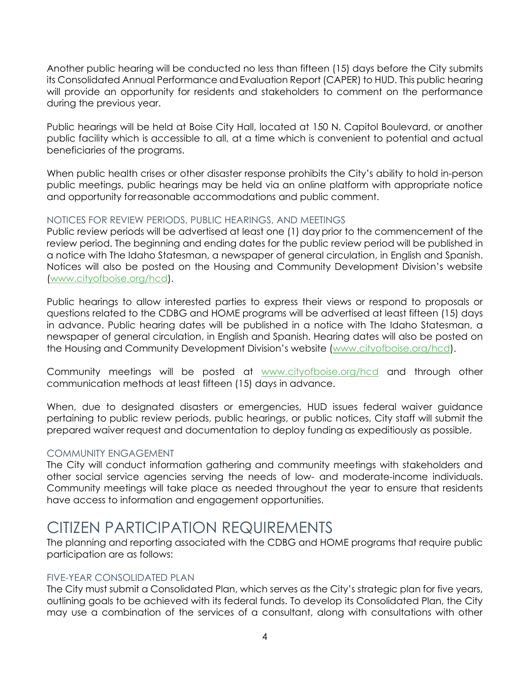Another public hearing will be conducted no less than fifteen (15) days before the City submits its Consolidated Annual Performance and Evaluation Report (CAPER) to HUD. This public hearing will provide an opportunity for residents and stakeholders to comment on the performance during the previous year.

Public hearings will be held at Boise City Hall, located at 150 N. Capitol Boulevard, or another public facility which is accessible to all, at a time which is convenient to potential and actual beneficiaries of the programs.

When public health crises or other disaster response prohibits the City's ability to hold in-person public meetings, public hearings may be held via an online platform with appropriate notice and opportunity for reasonable accommodations and public comment.

#### NOTICES FOR REVIEW PERIODS, PUBLIC HEARINGS, AND MEETINGS

Public review periods will be advertised at least one (1) dayprior to the commencement of the review period. The beginning and ending dates for the public review period will be published in a notice with The Idaho Statesman, a newspaper of general circulation, in English and Spanish. Notices will also be posted on the Housing and Community Development Division's website [\(www.cityofboise.org/hcd\)](http://www.cityofboise.org/hcd).

Public hearings to allow interested parties to express their views or respond to proposals or questions related to the CDBG and HOME programs will be advertised at least fifteen (15) days in advance. Public hearing dates will be published in a notice with The Idaho Statesman, a newspaper of general circulation, in English and Spanish. Hearing dates will also be posted on the Housing and Community Development Division's website ([www.cityofboise.org/hcd\)](http://www.cityofboise.org/hcd).

Community meetings will be posted at [www.cityofboise.org/hcd](http://www.cityofboise.org/hcd) and through other communication methods at least fifteen (15) days in advance.

When, due to designated disasters or emergencies, HUD issues federal waiver guidance pertaining to public review periods, public hearings, or public notices, City staff will submit the prepared waiver request and documentation to deploy funding as expeditiously as possible.

### COMMUNITY ENGAGEMENT

The City will conduct information gathering and community meetings with stakeholders and other social service agencies serving the needs of low- and moderate-income individuals. Community meetings will take place as needed throughout the year to ensure that residents have access to information and engagement opportunities.

# CITIZEN PARTICIPATION REQUIREMENTS

The planning and reporting associated with the CDBG and HOME programs that require public participation are as follows:

### FIVE-YEAR CONSOLIDATED PLAN

The City must submit a Consolidated Plan, which serves as the City's strategic plan for five years, outlining goals to be achieved with its federal funds. To develop its Consolidated Plan, the City may use a combination of the services of a consultant, along with consultations with other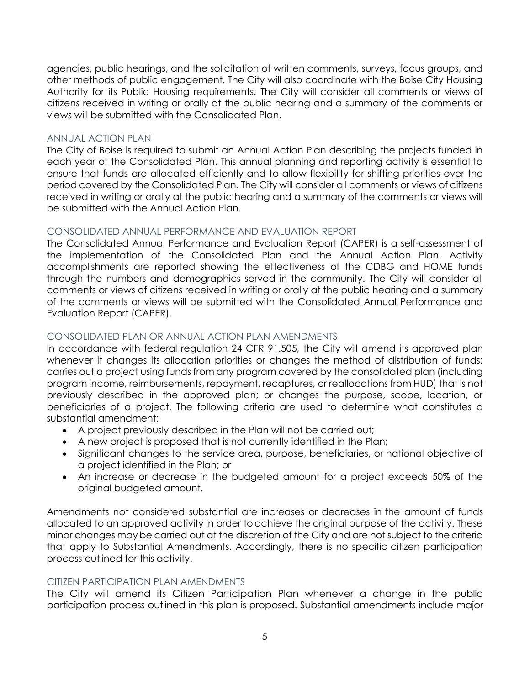agencies, public hearings, and the solicitation of written comments, surveys, focus groups, and other methods of public engagement. The City will also coordinate with the Boise City Housing Authority for its Public Housing requirements. The City will consider all comments or views of citizens received in writing or orally at the public hearing and a summary of the comments or views will be submitted with the Consolidated Plan.

#### ANNUAL ACTION PLAN

The City of Boise is required to submit an Annual Action Plan describing the projects funded in each year of the Consolidated Plan. This annual planning and reporting activity is essential to ensure that funds are allocated efficiently and to allow flexibility for shifting priorities over the period covered by the Consolidated Plan. The City will consider all comments or views of citizens received in writing or orally at the public hearing and a summary of the comments or views will be submitted with the Annual Action Plan.

#### CONSOLIDATED ANNUAL PERFORMANCE AND EVALUATION REPORT

The Consolidated Annual Performance and Evaluation Report (CAPER) is a self-assessment of the implementation of the Consolidated Plan and the Annual Action Plan. Activity accomplishments are reported showing the effectiveness of the CDBG and HOME funds through the numbers and demographics served in the community. The City will consider all comments or views of citizens received in writing or orally at the public hearing and a summary of the comments or views will be submitted with the Consolidated Annual Performance and Evaluation Report (CAPER).

### CONSOLIDATED PLAN OR ANNUAL ACTION PLAN AMENDMENTS

In accordance with federal regulation 24 CFR 91.505, the City will amend its approved plan whenever it changes its allocation priorities or changes the method of distribution of funds; carries out a project using funds from any program covered by the consolidated plan (including program income, reimbursements, repayment, recaptures, or reallocations from HUD) that is not previously described in the approved plan; or changes the purpose, scope, location, or beneficiaries of a project. The following criteria are used to determine what constitutes a substantial amendment:

- A project previously described in the Plan will not be carried out;
- A new project is proposed that is not currently identified in the Plan;
- Significant changes to the service area, purpose, beneficiaries, or national objective of a project identified in the Plan; or
- An increase or decrease in the budgeted amount for a project exceeds 50% of the original budgeted amount.

Amendments not considered substantial are increases or decreases in the amount of funds allocated to an approved activity in order to achieve the original purpose of the activity. These minor changes may be carried out at the discretion of the City and are not subject to thecriteria that apply to Substantial Amendments. Accordingly, there is no specific citizen participation process outlined for this activity.

### CITIZEN PARTICIPATION PLAN AMENDMENTS

The City will amend its Citizen Participation Plan whenever a change in the public participation process outlined in this plan is proposed. Substantial amendments include major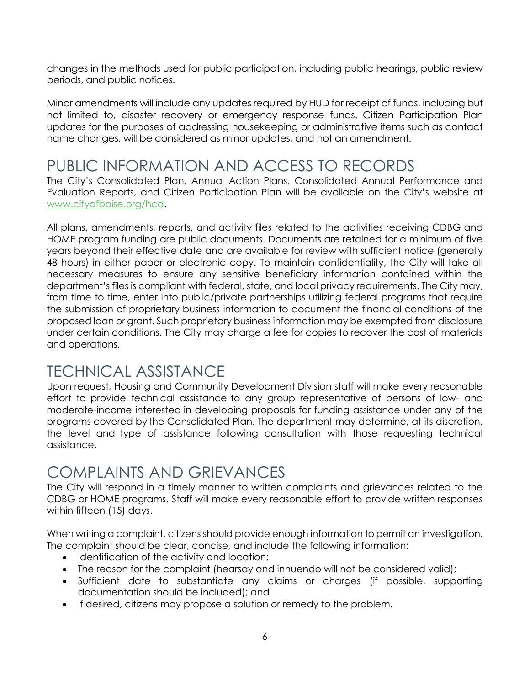changes in the methods used for public participation, including public hearings, public review periods, and public notices.

Minor amendments will include any updates required by HUD for receipt of funds, including but not limited to, disaster recovery or emergency response funds. Citizen Participation Plan updates for the purposes of addressing housekeeping or administrative items such as contact name changes, will be considered as minor updates, and not an amendment.

# PUBLIC INFORMATION AND ACCESS TO RECORDS

The City's Consolidated Plan, Annual Action Plans, Consolidated Annual Performance and Evaluation Reports, and Citizen Participation Plan will be available on the City's website at [www.cityofboise.org/hcd.](http://www.cityofboise.org/hcd)

All plans, amendments, reports, and activity files related to the activities receiving CDBG and HOME program funding are public documents. Documents are retained for a minimum of five years beyond their effective date and are available for review with sufficient notice (generally 48 hours) in either paper or electronic copy. To maintain confidentiality, the City will take all necessary measures to ensure any sensitive beneficiary information contained within the department's files is compliant with federal, state, and local privacy requirements. The City may, from time to time, enter into public/private partnerships utilizing federal programs that require the submission of proprietary business information to document the financial conditions of the proposed loan or grant. Such proprietary business information may be exempted from disclosure under certain conditions. The City may charge a fee for copies to recover the cost of materials and operations.

# TECHNICAL ASSISTANCE

Upon request, Housing and Community Development Division staff will make every reasonable effort to provide technical assistance to any group representative of persons of low- and moderate-income interested in developing proposals for funding assistance under any of the programs covered by the Consolidated Plan. The department may determine, at its discretion, the level and type of assistance following consultation with those requesting technical assistance.

# COMPLAINTS AND GRIEVANCES

The City will respond in a timely manner to written complaints and grievances related to the CDBG or HOME programs. Staff will make every reasonable effort to provide written responses within fifteen (15) days.

When writing a complaint, citizens should provide enough information to permit an investigation. The complaint should be clear, concise, and include the following information:

- Identification of the activity and location;
- The reason for the complaint (hearsay and innuendo will not be considered valid);
- Sufficient date to substantiate any claims or charges (if possible, supporting documentation should be included); and
- If desired, citizens may propose a solution or remedy to the problem.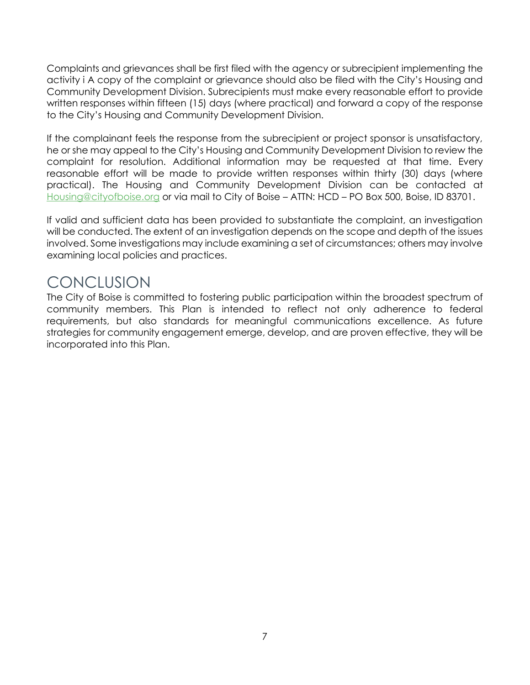Complaints and grievances shall be first filed with the agency or subrecipient implementing the activity i A copy of the complaint or grievance should also be filed with the City's Housing and Community Development Division. Subrecipients must make every reasonable effort to provide written responses within fifteen (15) days (where practical) and forward a copy of the response to the City's Housing and Community Development Division.

If the complainant feels the response from the subrecipient or project sponsor is unsatisfactory, he or she may appeal to the City's Housing and Community Development Division to review the complaint for resolution. Additional information may be requested at that time. Every reasonable effort will be made to provide written responses within thirty (30) days (where practical). The Housing and Community Development Division can be contacted at [Housing@cityofboise.org](mailto:Housing@cityofboise.org) or via mail to City of Boise – ATTN: HCD – PO Box 500, Boise, ID 83701.

If valid and sufficient data has been provided to substantiate the complaint, an investigation will be conducted. The extent of an investigation depends on the scope and depth of the issues involved. Some investigations may include examining a set of circumstances; others may involve examining local policies and practices.

# CONCLUSION

The City of Boise is committed to fostering public participation within the broadest spectrum of community members. This Plan is intended to reflect not only adherence to federal requirements, but also standards for meaningful communications excellence. As future strategies for community engagement emerge, develop, and are proven effective, they will be incorporated into this Plan.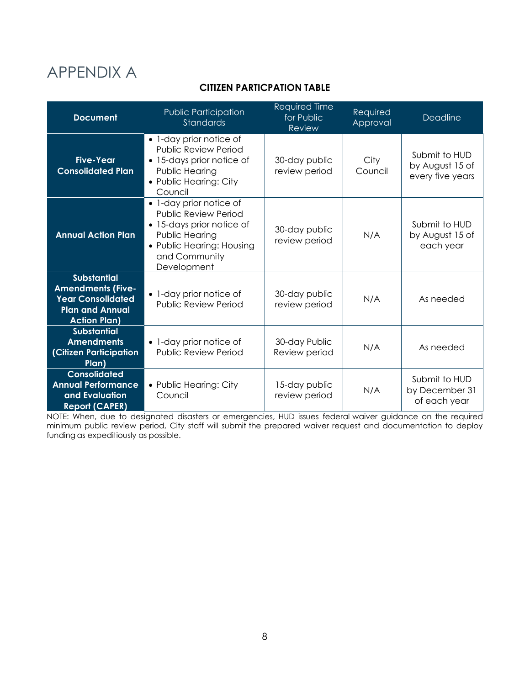# APPENDIX A

# **CITIZEN PARTICPATION TABLE**

| <b>Document</b>                                                                                                             | <b>Public Participation</b><br>Standards                                                                                                                           | Required Time<br>for Public<br><b>Review</b> | Required<br>Approval | Deadline                                             |
|-----------------------------------------------------------------------------------------------------------------------------|--------------------------------------------------------------------------------------------------------------------------------------------------------------------|----------------------------------------------|----------------------|------------------------------------------------------|
| <b>Five-Year</b><br><b>Consolidated Plan</b>                                                                                | • 1-day prior notice of<br><b>Public Review Period</b><br>• 15-days prior notice of<br>Public Hearing<br>• Public Hearing: City<br>Council                         | 30-day public<br>review period               | City<br>Council      | Submit to HUD<br>by August 15 of<br>every five years |
| <b>Annual Action Plan</b>                                                                                                   | • 1-day prior notice of<br><b>Public Review Period</b><br>• 15-days prior notice of<br>Public Hearing<br>• Public Hearing: Housing<br>and Community<br>Development | 30-day public<br>review period               | N/A                  | Submit to HUD<br>by August 15 of<br>each year        |
| <b>Substantial</b><br><b>Amendments (Five-</b><br><b>Year Consolidated</b><br><b>Plan and Annual</b><br><b>Action Plan)</b> | • 1-day prior notice of<br><b>Public Review Period</b>                                                                                                             | 30-day public<br>review period               | N/A                  | As needed                                            |
| <b>Substantial</b><br><b>Amendments</b><br>(Citizen Participation<br>Plan)                                                  | • 1-day prior notice of<br><b>Public Review Period</b>                                                                                                             | 30-day Public<br>Review period               | N/A                  | As needed                                            |
| <b>Consolidated</b><br><b>Annual Performance</b><br>and Evaluation<br><b>Report (CAPER)</b>                                 | • Public Hearing: City<br>Council                                                                                                                                  | 15-day public<br>review period               | N/A                  | Submit to HUD<br>by December 31<br>of each year      |

NOTE: When, due to designated disasters or emergencies, HUD issues federal waiver guidance on the required minimum public review period, City staff will submit the prepared waiver request and documentation to deploy funding as expeditiously as possible.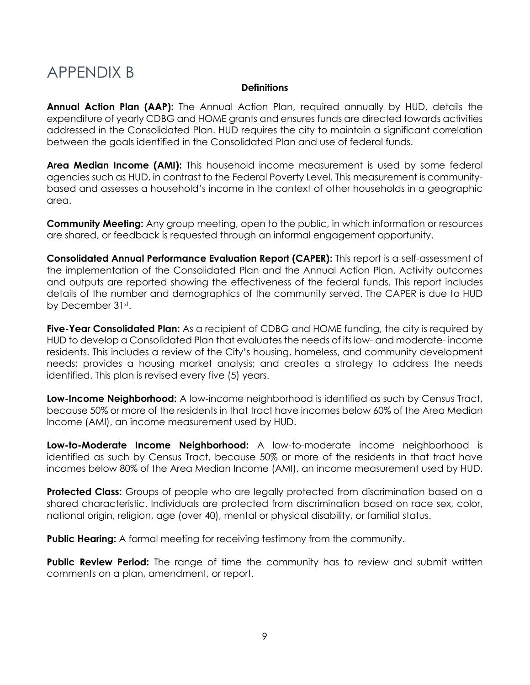# APPENDIX B

#### **Definitions**

**Annual Action Plan (AAP):** The Annual Action Plan, required annually by HUD, details the expenditure of yearly CDBG and HOME grants and ensures funds are directed towards activities addressed in the Consolidated Plan. HUD requires the city to maintain a significant correlation between the goals identified in the Consolidated Plan and use of federal funds.

**Area Median Income (AMI):** This household income measurement is used by some federal agencies such as HUD, in contrast to the Federal Poverty Level. This measurement is communitybased and assesses a household's income in the context of other households in a geographic area.

**Community Meeting:** Any group meeting, open to the public, in which information or resources are shared, or feedback is requested through an informal engagement opportunity.

**Consolidated Annual Performance Evaluation Report (CAPER):** This report is a self-assessment of the implementation of the Consolidated Plan and the Annual Action Plan. Activity outcomes and outputs are reported showing the effectiveness of the federal funds. This report includes details of the number and demographics of the community served. The CAPER is due to HUD by December 31st.

**Five-Year Consolidated Plan:** As a recipient of CDBG and HOME funding, the city is required by HUD to develop a Consolidated Plan that evaluates the needs of its low- and moderate- income residents. This includes a review of the City's housing, homeless, and community development needs; provides a housing market analysis; and creates a strategy to address the needs identified. This plan is revised every five (5) years.

**Low-Income Neighborhood:** A low-income neighborhood is identified as such by Census Tract, because 50% or more of the residents in that tract have incomes below 60% of the Area Median Income (AMI), an income measurement used by HUD.

**Low-to-Moderate Income Neighborhood:** A low-to-moderate income neighborhood is identified as such by Census Tract, because 50% or more of the residents in that tract have incomes below 80% of the Area Median Income (AMI), an income measurement used by HUD.

**Protected Class:** Groups of people who are legally protected from discrimination based on a shared characteristic. Individuals are protected from discrimination based on race sex, color, national origin, religion, age (over 40), mental or physical disability, or familial status.

**Public Hearing:** A formal meeting for receiving testimony from the community.

**Public Review Period:** The range of time the community has to review and submit written comments on a plan, amendment, or report.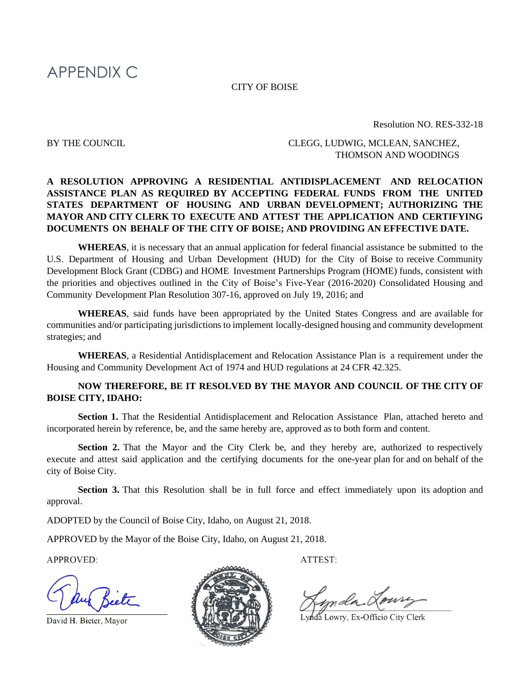# APPENDIX C

#### CITY OF BOISE

Resolution NO. RES-332-18

BY THE COUNCIL CLEGG, LUDWIG, MCLEAN, SANCHEZ, THOMSON AND WOODINGS

#### **A RESOLUTION APPROVING A RESIDENTIAL ANTIDISPLACEMENT AND RELOCATION ASSISTANCE PLAN AS REQUIRED BY ACCEPTING FEDERAL FUNDS FROM THE UNITED STATES DEPARTMENT OF HOUSING AND URBAN DEVELOPMENT; AUTHORIZING THE MAYOR AND CITY CLERK TO EXECUTE AND ATTEST THE APPLICATION AND CERTIFYING DOCUMENTS ON BEHALF OF THE CITY OF BOISE; AND PROVIDING AN EFFECTIVE DATE.**

**WHEREAS**, it is necessary that an annual application for federal financial assistance be submitted to the U.S. Department of Housing and Urban Development (HUD) for the City of Boise to receive Community Development Block Grant (CDBG) and HOME Investment Partnerships Program (HOME) funds, consistent with the priorities and objectives outlined in the City of Boise's Five-Year (2016-2020) Consolidated Housing and Community Development Plan Resolution 307-16, approved on July 19, 2016; and

**WHEREAS**, said funds have been appropriated by the United States Congress and are available for communities and/or participating jurisdictions to implement locally-designed housing and community development strategies; and

**WHEREAS**, a Residential Antidisplacement and Relocation Assistance Plan is a requirement under the Housing and Community Development Act of 1974 and HUD regulations at 24 CFR 42.325.

#### **NOW THEREFORE, BE IT RESOLVED BY THE MAYOR AND COUNCIL OF THE CITY OF BOISE CITY, IDAHO:**

**Section 1.** That the Residential Antidisplacement and Relocation Assistance Plan, attached hereto and incorporated herein by reference, be, and the same hereby are, approved as to both form and content.

**Section 2.** That the Mayor and the City Clerk be, and they hereby are, authorized to respectively execute and attest said application and the certifying documents for the one-year plan for and on behalf of the city of Boise City.

**Section 3.** That this Resolution shall be in full force and effect immediately upon its adoption and approval.

ADOPTED by the Council of Boise City, Idaho, on August 21, 2018.

APPROVED by the Mayor of the Boise City, Idaho, on August 21, 2018.

**APPROVED:** 

David H. Bieter, Mayor



ATTEST:

mda Lour

da Lowry, Ex-Officio City Clerk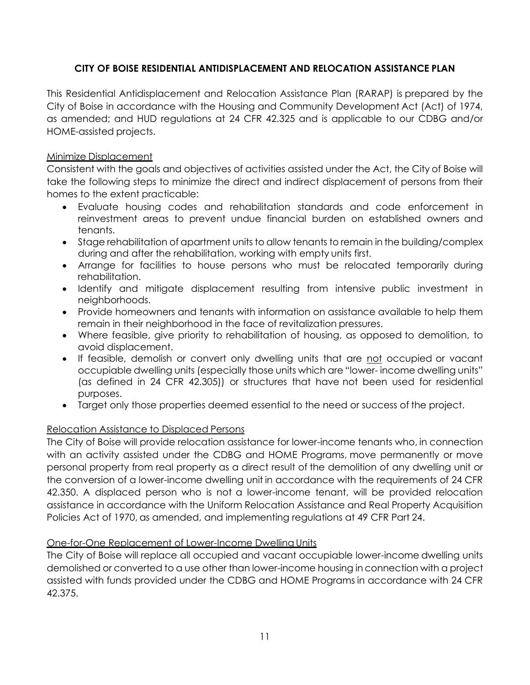## **CITY OF BOISE RESIDENTIAL ANTIDISPLACEMENT AND RELOCATION ASSISTANCE PLAN**

This Residential Antidisplacement and Relocation Assistance Plan (RARAP) is prepared by the City of Boise in accordance with the Housing and Community Development Act (Act) of 1974, as amended; and HUD regulations at 24 CFR 42.325 and is applicable to our CDBG and/or HOME-assisted projects.

### Minimize Displacement

Consistent with the goals and objectives of activities assisted under the Act, the City of Boise will take the following steps to minimize the direct and indirect displacement of persons from their homes to the extent practicable:

- Evaluate housing codes and rehabilitation standards and code enforcement in reinvestment areas to prevent undue financial burden on established owners and tenants.
- Stage rehabilitation of apartment units to allow tenants to remain in the building/complex during and after the rehabilitation, working with empty units first.
- Arrange for facilities to house persons who must be relocated temporarily during rehabilitation.
- Identify and mitigate displacement resulting from intensive public investment in neighborhoods.
- Provide homeowners and tenants with information on assistance available to help them remain in their neighborhood in the face of revitalization pressures.
- Where feasible, give priority to rehabilitation of housing, as opposed to demolition, to avoid displacement.
- If feasible, demolish or convert only dwelling units that are not occupied or vacant occupiable dwelling units (especially those units which are "lower- income dwelling units" (as defined in 24 CFR 42.305)) or structures that have not been used for residential purposes.
- Target only those properties deemed essential to the need or success of the project.

## Relocation Assistance to Displaced Persons

The City of Boise will provide relocation assistance for lower-income tenants who, in connection with an activity assisted under the CDBG and HOME Programs, move permanently or move personal property from real property as a direct result of the demolition of any dwelling unit or the conversion of a lower-income dwelling unit in accordance with the requirements of 24 CFR 42.350. A displaced person who is not a lower-income tenant, will be provided relocation assistance in accordance with the Uniform Relocation Assistance and Real Property Acquisition Policies Act of 1970, as amended, and implementing regulations at 49 CFR Part 24.

### One-for-One Replacement of Lower-Income Dwelling Units

The City of Boise will replace all occupied and vacant occupiable lower-income dwelling units demolished or converted to a use other than lower-income housing in connection with a project assisted with funds provided under the CDBG and HOME Programs in accordance with 24 CFR 42.375.